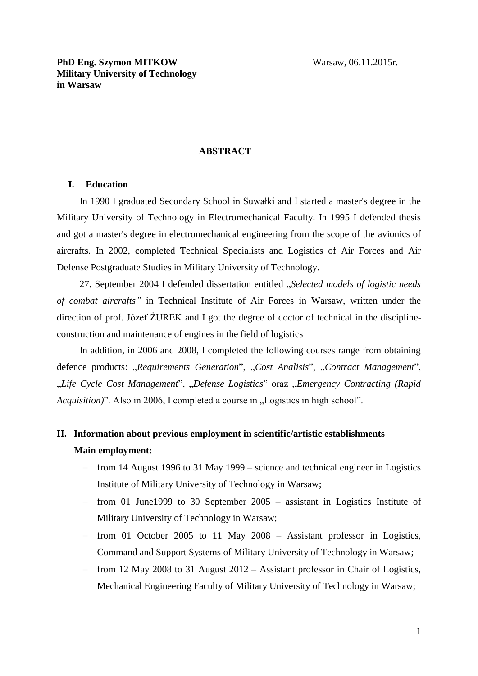#### **ABSTRACT**

#### **I. Education**

In 1990 I graduated Secondary School in Suwałki and I started a master's degree in the Military University of Technology in Electromechanical Faculty. In 1995 I defended thesis and got a master's degree in electromechanical engineering from the scope of the avionics of aircrafts. In 2002, completed Technical Specialists and Logistics of Air Forces and Air Defense Postgraduate Studies in Military University of Technology.

27. September 2004 I defended dissertation entitled "*Selected models of logistic needs of combat aircrafts"* in Technical Institute of Air Forces in Warsaw, written under the direction of prof. Józef ŻUREK and I got the degree of doctor of technical in the disciplineconstruction and maintenance of engines in the field of logistics

In addition, in 2006 and 2008, I completed the following courses range from obtaining defence products: *"Requirements Generation*", "*Cost Analisis*", "*Contract Management*", "*Life Cycle Cost Management*", "*Defense Logistics*" oraz "*Emergency Contracting (Rapid Acquisition*)". Also in 2006, I completed a course in "Logistics in high school".

# **II. Information about previous employment in scientific/artistic establishments Main employment:**

- from 14 August 1996 to 31 May 1999 science and technical engineer in Logistics Institute of Military University of Technology in Warsaw;
- $-$  from 01 June1999 to 30 September 2005 assistant in Logistics Institute of Military University of Technology in Warsaw;
- from 01 October 2005 to 11 May 2008 Assistant professor in Logistics, Command and Support Systems of Military University of Technology in Warsaw;
- $-$  from 12 May 2008 to 31 August 2012 Assistant professor in Chair of Logistics, Mechanical Engineering Faculty of Military University of Technology in Warsaw;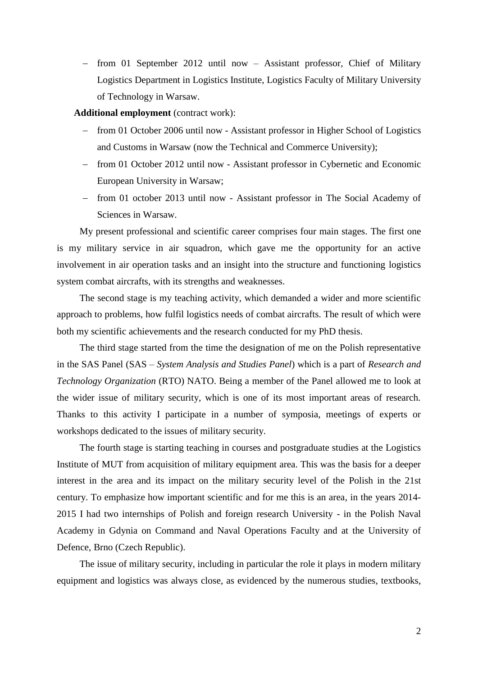- from 01 September 2012 until now - Assistant professor, Chief of Military Logistics Department in Logistics Institute, Logistics Faculty of Military University of Technology in Warsaw.

**Additional employment** (contract work):

- from 01 October 2006 until now Assistant professor in Higher School of Logistics and Customs in Warsaw (now the Technical and Commerce University);
- from 01 October 2012 until now Assistant professor in Cybernetic and Economic European University in Warsaw;
- from 01 october 2013 until now Assistant professor in The Social Academy of Sciences in Warsaw.

My present professional and scientific career comprises four main stages. The first one is my military service in air squadron, which gave me the opportunity for an active involvement in air operation tasks and an insight into the structure and functioning logistics system combat aircrafts, with its strengths and weaknesses.

The second stage is my teaching activity, which demanded a wider and more scientific approach to problems, how fulfil logistics needs of combat aircrafts. The result of which were both my scientific achievements and the research conducted for my PhD thesis.

The third stage started from the time the designation of me on the Polish representative in the SAS Panel (SAS – *System Analysis and Studies Panel*) which is a part of *Research and Technology Organization* (RTO) NATO. Being a member of the Panel allowed me to look at the wider issue of military security, which is one of its most important areas of research. Thanks to this activity I participate in a number of symposia, meetings of experts or workshops dedicated to the issues of military security.

The fourth stage is starting teaching in courses and postgraduate studies at the Logistics Institute of MUT from acquisition of military equipment area. This was the basis for a deeper interest in the area and its impact on the military security level of the Polish in the 21st century. To emphasize how important scientific and for me this is an area, in the years 2014- 2015 I had two internships of Polish and foreign research University - in the Polish Naval Academy in Gdynia on Command and Naval Operations Faculty and at the University of Defence, Brno (Czech Republic).

The issue of military security, including in particular the role it plays in modern military equipment and logistics was always close, as evidenced by the numerous studies, textbooks,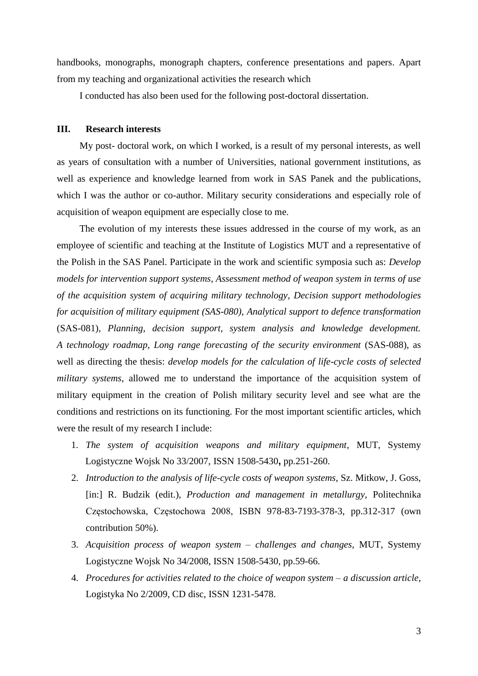handbooks, monographs, monograph chapters, conference presentations and papers. Apart from my teaching and organizational activities the research which

I conducted has also been used for the following post-doctoral dissertation.

### **III. Research interests**

My post- doctoral work, on which I worked, is a result of my personal interests, as well as years of consultation with a number of Universities, national government institutions, as well as experience and knowledge learned from work in SAS Panek and the publications, which I was the author or co-author. Military security considerations and especially role of acquisition of weapon equipment are especially close to me.

The evolution of my interests these issues addressed in the course of my work, as an employee of scientific and teaching at the Institute of Logistics MUT and a representative of the Polish in the SAS Panel. Participate in the work and scientific symposia such as: *Develop models for intervention support systems*, *Assessment method of weapon system in terms of use of the acquisition system of acquiring military technology, Decision support methodologies for acquisition of military equipment (SAS-080)*, *Analytical support to defence transformation* (SAS-081), *Planning, decision support, system analysis and knowledge development. A technology roadmap*, *Long range forecasting of the security environment* (SAS-088), as well as directing the thesis: *develop models for the calculation of life-cycle costs of selected military systems*, allowed me to understand the importance of the acquisition system of military equipment in the creation of Polish military security level and see what are the conditions and restrictions on its functioning. For the most important scientific articles, which were the result of my research I include:

- 1. *The system of acquisition weapons and military equipment*, MUT, Systemy Logistyczne Wojsk No 33/2007, ISSN 1508-5430**,** pp.251-260.
- 2. *Introduction to the analysis of life-cycle costs of weapon systems*, Sz. Mitkow, J. Goss, [in:] R. Budzik (edit.), *Production and management in metallurgy*, Politechnika Częstochowska, Częstochowa 2008, ISBN 978-83-7193-378-3, pp.312-317 (own contribution 50%).
- 3. *Acquisition process of weapon system – challenges and changes*, MUT, Systemy Logistyczne Wojsk No 34/2008, ISSN 1508-5430, pp.59-66.
- 4. *Procedures for activities related to the choice of weapon system – a discussion article*, Logistyka No 2/2009, CD disc, ISSN 1231-5478.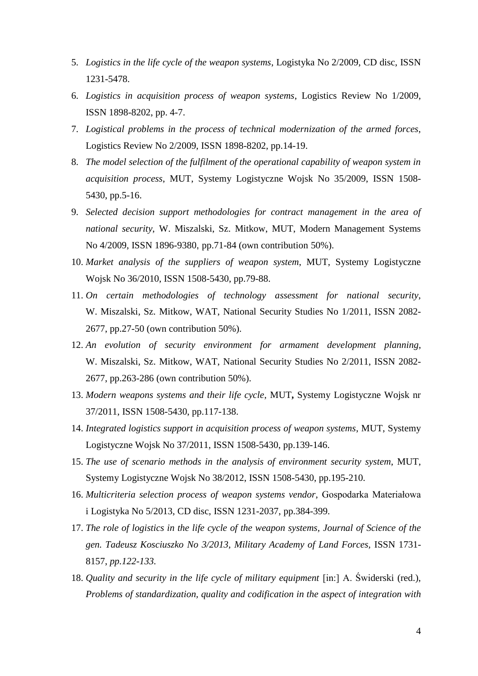- 5. *Logistics in the life cycle of the weapon systems*, Logistyka No 2/2009, CD disc, ISSN 1231-5478.
- 6. *Logistics in acquisition process of weapon systems*, Logistics Review No 1/2009, ISSN 1898-8202, pp. 4-7.
- 7. *Logistical problems in the process of technical modernization of the armed forces*, Logistics Review No 2/2009, ISSN 1898-8202, pp.14-19.
- 8. *The model selection of the fulfilment of the operational capability of weapon system in acquisition process*, MUT, Systemy Logistyczne Wojsk No 35/2009, ISSN 1508- 5430, pp.5-16.
- 9. *Selected decision support methodologies for contract management in the area of national security*, W. Miszalski, Sz. Mitkow, MUT, Modern Management Systems No 4/2009, ISSN 1896-9380, pp.71-84 (own contribution 50%).
- 10. *Market analysis of the suppliers of weapon system*, MUT, Systemy Logistyczne Wojsk No 36/2010, ISSN 1508-5430, pp.79-88.
- 11. *On certain methodologies of technology assessment for national security*, W. Miszalski, Sz. Mitkow, WAT, National Security Studies No 1/2011, ISSN 2082- 2677, pp.27-50 (own contribution 50%).
- 12. *An evolution of security environment for armament development planning*, W. Miszalski, Sz. Mitkow, WAT, National Security Studies No 2/2011, ISSN 2082- 2677, pp.263-286 (own contribution 50%).
- 13. *Modern weapons systems and their life cycle*, MUT**,** Systemy Logistyczne Wojsk nr 37/2011, ISSN 1508-5430, pp.117-138.
- 14. *Integrated logistics support in acquisition process of weapon systems*, MUT, Systemy Logistyczne Wojsk No 37/2011, ISSN 1508-5430, pp.139-146.
- 15. *The use of scenario methods in the analysis of environment security system*, MUT, Systemy Logistyczne Wojsk No 38/2012, ISSN 1508-5430, pp.195-210.
- 16. *Multicriteria selection process of weapon systems vendor*, Gospodarka Materiałowa i Logistyka No 5/2013, CD disc, ISSN 1231-2037, pp.384-399.
- 17. *The role of logistics in the life cycle of the weapon systems, Journal of Science of the gen. Tadeusz Kosciuszko No 3/2013, Military Academy of Land Forces,* ISSN 1731- 8157, *pp.122-133.*
- 18. *Quality and security in the life cycle of military equipment* [in:] A. Świderski (red.), *Problems of standardization, quality and codification in the aspect of integration with*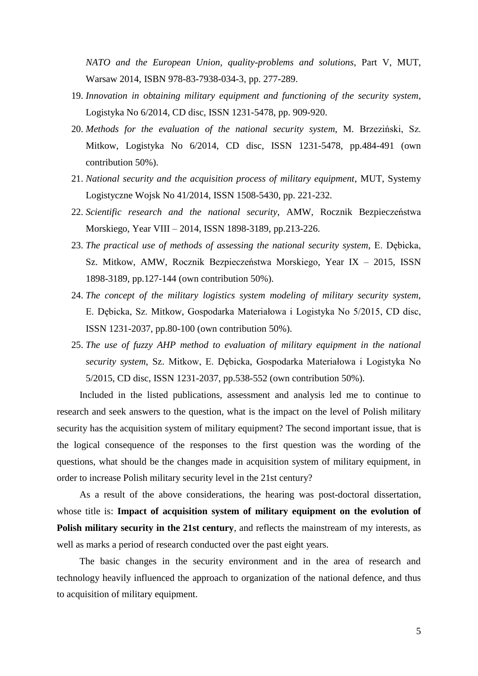*NATO and the European Union, quality-problems and solutions*, Part V, MUT, Warsaw 2014, ISBN 978-83-7938-034-3, pp. 277-289.

- 19. *Innovation in obtaining military equipment and functioning of the security system*, Logistyka No 6/2014, CD disc, ISSN 1231-5478, pp. 909-920.
- 20. *Methods for the evaluation of the national security system*, M. Brzeziński, Sz. Mitkow, Logistyka No 6/2014, CD disc, ISSN 1231-5478, pp.484-491 (own contribution 50%).
- 21. *National security and the acquisition process of military equipment*, MUT, Systemy Logistyczne Wojsk No 41/2014, ISSN 1508-5430, pp. 221-232.
- 22. *Scientific research and the national security*, AMW, Rocznik Bezpieczeństwa Morskiego, Year VIII – 2014, ISSN 1898-3189, pp.213-226.
- 23. *The practical use of methods of assessing the national security system*, E. Dębicka, Sz. Mitkow, AMW, Rocznik Bezpieczeństwa Morskiego, Year IX – 2015, ISSN 1898-3189, pp.127-144 (own contribution 50%).
- 24. *The concept of the military logistics system modeling of military security system*, E. Dębicka, Sz. Mitkow, Gospodarka Materiałowa i Logistyka No 5/2015, CD disc, ISSN 1231-2037, pp.80-100 (own contribution 50%).
- 25. *The use of fuzzy AHP method to evaluation of military equipment in the national security system*, Sz. Mitkow, E. Dębicka, Gospodarka Materiałowa i Logistyka No 5/2015, CD disc, ISSN 1231-2037, pp.538-552 (own contribution 50%).

Included in the listed publications, assessment and analysis led me to continue to research and seek answers to the question, what is the impact on the level of Polish military security has the acquisition system of military equipment? The second important issue, that is the logical consequence of the responses to the first question was the wording of the questions, what should be the changes made in acquisition system of military equipment, in order to increase Polish military security level in the 21st century?

As a result of the above considerations, the hearing was post-doctoral dissertation, whose title is: **Impact of acquisition system of military equipment on the evolution of Polish military security in the 21st century**, and reflects the mainstream of my interests, as well as marks a period of research conducted over the past eight years.

The basic changes in the security environment and in the area of research and technology heavily influenced the approach to organization of the national defence, and thus to acquisition of military equipment.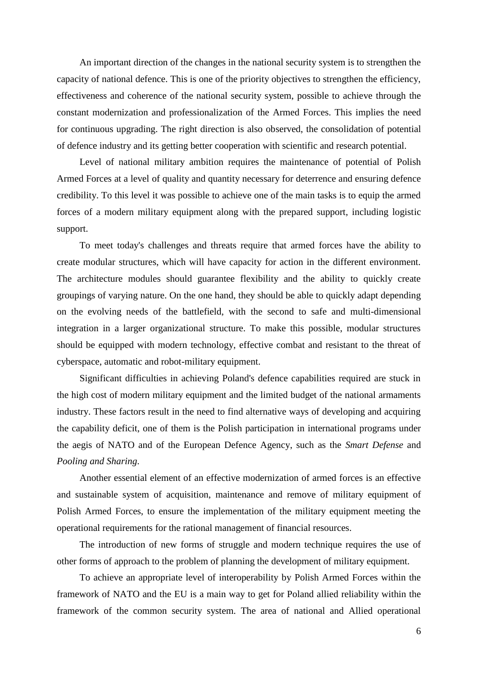An important direction of the changes in the national security system is to strengthen the capacity of national defence. This is one of the priority objectives to strengthen the efficiency, effectiveness and coherence of the national security system, possible to achieve through the constant modernization and professionalization of the Armed Forces. This implies the need for continuous upgrading. The right direction is also observed, the consolidation of potential of defence industry and its getting better cooperation with scientific and research potential.

Level of national military ambition requires the maintenance of potential of Polish Armed Forces at a level of quality and quantity necessary for deterrence and ensuring defence credibility. To this level it was possible to achieve one of the main tasks is to equip the armed forces of a modern military equipment along with the prepared support, including logistic support.

To meet today's challenges and threats require that armed forces have the ability to create modular structures, which will have capacity for action in the different environment. The architecture modules should guarantee flexibility and the ability to quickly create groupings of varying nature. On the one hand, they should be able to quickly adapt depending on the evolving needs of the battlefield, with the second to safe and multi-dimensional integration in a larger organizational structure. To make this possible, modular structures should be equipped with modern technology, effective combat and resistant to the threat of cyberspace, automatic and robot-military equipment.

Significant difficulties in achieving Poland's defence capabilities required are stuck in the high cost of modern military equipment and the limited budget of the national armaments industry. These factors result in the need to find alternative ways of developing and acquiring the capability deficit, one of them is the Polish participation in international programs under the aegis of NATO and of the European Defence Agency, such as the *Smart Defense* and *Pooling and Sharing*.

Another essential element of an effective modernization of armed forces is an effective and sustainable system of acquisition, maintenance and remove of military equipment of Polish Armed Forces, to ensure the implementation of the military equipment meeting the operational requirements for the rational management of financial resources.

The introduction of new forms of struggle and modern technique requires the use of other forms of approach to the problem of planning the development of military equipment.

To achieve an appropriate level of interoperability by Polish Armed Forces within the framework of NATO and the EU is a main way to get for Poland allied reliability within the framework of the common security system. The area of national and Allied operational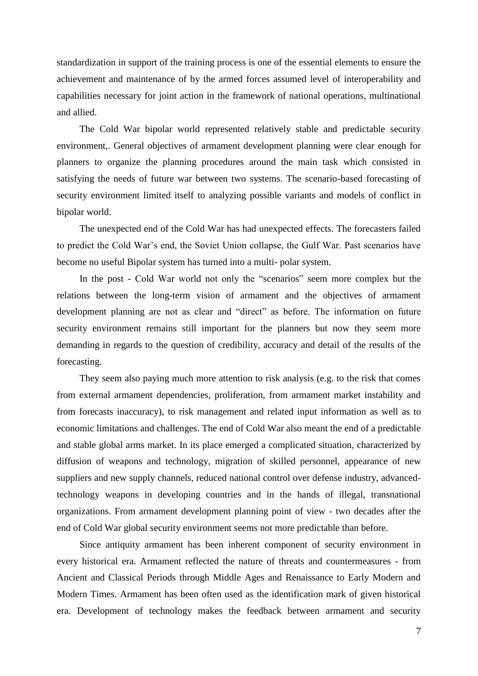standardization in support of the training process is one of the essential elements to ensure the achievement and maintenance of by the armed forces assumed level of interoperability and capabilities necessary for joint action in the framework of national operations, multinational and allied.

The Cold War bipolar world represented relatively stable and predictable security environment,. General objectives of armament development planning were clear enough for planners to organize the planning procedures around the main task which consisted in satisfying the needs of future war between two systems. The scenario-based forecasting of security environment limited itself to analyzing possible variants and models of conflict in bipolar world.

The unexpected end of the Cold War has had unexpected effects. The forecasters failed to predict the Cold War's end, the Soviet Union collapse, the Gulf War. Past scenarios have become no useful Bipolar system has turned into a multi- polar system.

In the post - Cold War world not only the "scenarios" seem more complex but the relations between the long-term vision of armament and the objectives of armament development planning are not as clear and "direct" as before. The information on future security environment remains still important for the planners but now they seem more demanding in regards to the question of credibility, accuracy and detail of the results of the forecasting.

They seem also paying much more attention to risk analysis (e.g. to the risk that comes from external armament dependencies, proliferation, from armament market instability and from forecasts inaccuracy), to risk management and related input information as well as to economic limitations and challenges. The end of Cold War also meant the end of a predictable and stable global arms market. In its place emerged a complicated situation, characterized by diffusion of weapons and technology, migration of skilled personnel, appearance of new suppliers and new supply channels, reduced national control over defense industry, advancedtechnology weapons in developing countries and in the hands of illegal, transnational organizations. From armament development planning point of view - two decades after the end of Cold War global security environment seems not more predictable than before.

Since antiquity armament has been inherent component of security environment in every historical era. Armament reflected the nature of threats and countermeasures - from Ancient and Classical Periods through Middle Ages and Renaissance to Early Modern and Modern Times. Armament has been often used as the identification mark of given historical era. Development of technology makes the feedback between armament and security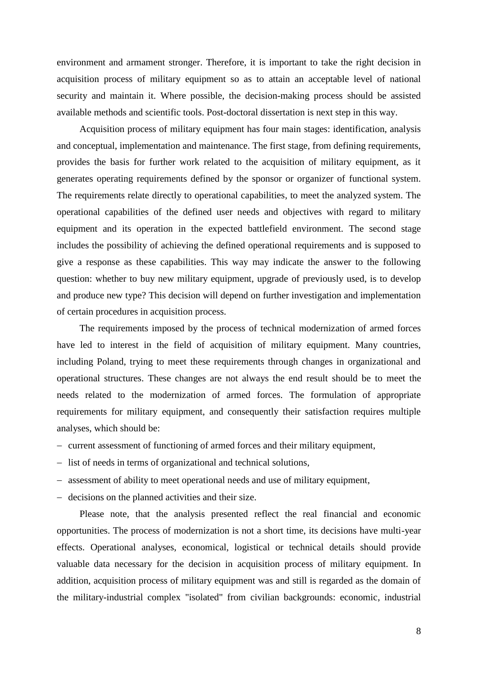environment and armament stronger. Therefore, it is important to take the right decision in acquisition process of military equipment so as to attain an acceptable level of national security and maintain it. Where possible, the decision-making process should be assisted available methods and scientific tools. Post-doctoral dissertation is next step in this way.

Acquisition process of military equipment has four main stages: identification, analysis and conceptual, implementation and maintenance. The first stage, from defining requirements, provides the basis for further work related to the acquisition of military equipment, as it generates operating requirements defined by the sponsor or organizer of functional system. The requirements relate directly to operational capabilities, to meet the analyzed system. The operational capabilities of the defined user needs and objectives with regard to military equipment and its operation in the expected battlefield environment. The second stage includes the possibility of achieving the defined operational requirements and is supposed to give a response as these capabilities. This way may indicate the answer to the following question: whether to buy new military equipment, upgrade of previously used, is to develop and produce new type? This decision will depend on further investigation and implementation of certain procedures in acquisition process.

The requirements imposed by the process of technical modernization of armed forces have led to interest in the field of acquisition of military equipment. Many countries, including Poland, trying to meet these requirements through changes in organizational and operational structures. These changes are not always the end result should be to meet the needs related to the modernization of armed forces. The formulation of appropriate requirements for military equipment, and consequently their satisfaction requires multiple analyses, which should be:

- current assessment of functioning of armed forces and their military equipment,
- list of needs in terms of organizational and technical solutions,
- assessment of ability to meet operational needs and use of military equipment,
- decisions on the planned activities and their size.

Please note, that the analysis presented reflect the real financial and economic opportunities. The process of modernization is not a short time, its decisions have multi-year effects. Operational analyses, economical, logistical or technical details should provide valuable data necessary for the decision in acquisition process of military equipment. In addition, acquisition process of military equipment was and still is regarded as the domain of the military-industrial complex "isolated" from civilian backgrounds: economic, industrial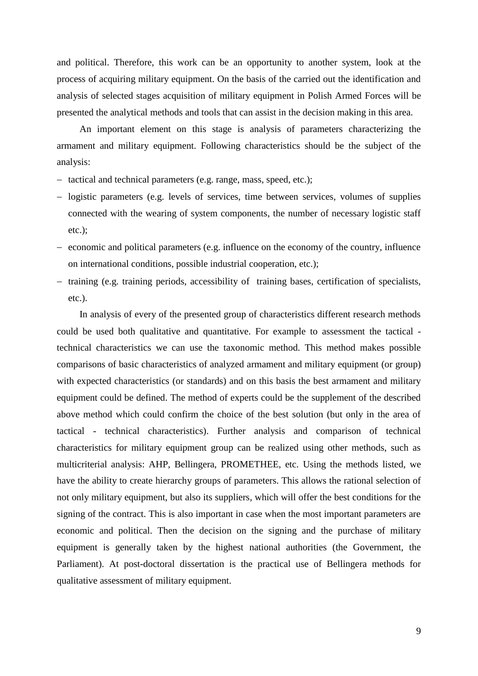and political. Therefore, this work can be an opportunity to another system, look at the process of acquiring military equipment. On the basis of the carried out the identification and analysis of selected stages acquisition of military equipment in Polish Armed Forces will be presented the analytical methods and tools that can assist in the decision making in this area.

An important element on this stage is analysis of parameters characterizing the armament and military equipment. Following characteristics should be the subject of the analysis:

- tactical and technical parameters (e.g. range, mass, speed, etc.);
- logistic parameters (e.g. levels of services, time between services, volumes of supplies connected with the wearing of system components, the number of necessary logistic staff etc.);
- $\overline{e}$  economic and political parameters (e.g. influence on the economy of the country, influence on international conditions, possible industrial cooperation, etc.);
- $-$  training (e.g. training periods, accessibility of training bases, certification of specialists, etc.).

In analysis of every of the presented group of characteristics different research methods could be used both qualitative and quantitative. For example to assessment the tactical technical characteristics we can use the taxonomic method. This method makes possible comparisons of basic characteristics of analyzed armament and military equipment (or group) with expected characteristics (or standards) and on this basis the best armament and military equipment could be defined. The method of experts could be the supplement of the described above method which could confirm the choice of the best solution (but only in the area of tactical - technical characteristics). Further analysis and comparison of technical characteristics for military equipment group can be realized using other methods, such as multicriterial analysis: AHP, Bellingera, PROMETHEE, etc. Using the methods listed, we have the ability to create hierarchy groups of parameters. This allows the rational selection of not only military equipment, but also its suppliers, which will offer the best conditions for the signing of the contract. This is also important in case when the most important parameters are economic and political. Then the decision on the signing and the purchase of military equipment is generally taken by the highest national authorities (the Government, the Parliament). At post-doctoral dissertation is the practical use of Bellingera methods for qualitative assessment of military equipment.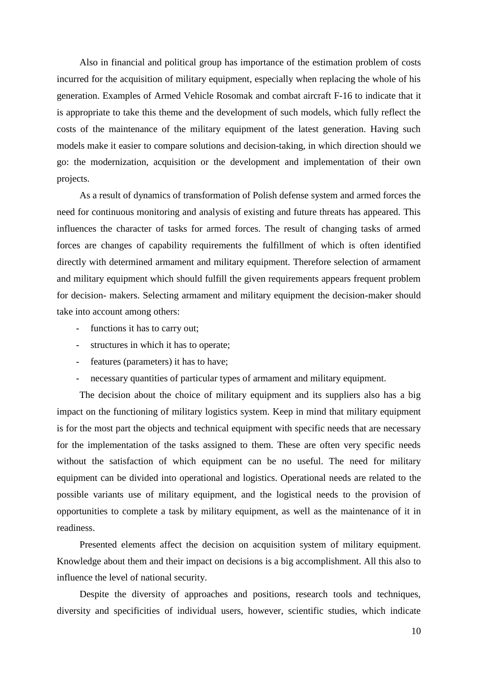Also in financial and political group has importance of the estimation problem of costs incurred for the acquisition of military equipment, especially when replacing the whole of his generation. Examples of Armed Vehicle Rosomak and combat aircraft F-16 to indicate that it is appropriate to take this theme and the development of such models, which fully reflect the costs of the maintenance of the military equipment of the latest generation. Having such models make it easier to compare solutions and decision-taking, in which direction should we go: the modernization, acquisition or the development and implementation of their own projects.

As a result of dynamics of transformation of Polish defense system and armed forces the need for continuous monitoring and analysis of existing and future threats has appeared. This influences the character of tasks for armed forces. The result of changing tasks of armed forces are changes of capability requirements the fulfillment of which is often identified directly with determined armament and military equipment. Therefore selection of armament and military equipment which should fulfill the given requirements appears frequent problem for decision- makers. Selecting armament and military equipment the decision-maker should take into account among others:

- functions it has to carry out;
- structures in which it has to operate;
- features (parameters) it has to have;
- necessary quantities of particular types of armament and military equipment.

The decision about the choice of military equipment and its suppliers also has a big impact on the functioning of military logistics system. Keep in mind that military equipment is for the most part the objects and technical equipment with specific needs that are necessary for the implementation of the tasks assigned to them. These are often very specific needs without the satisfaction of which equipment can be no useful. The need for military equipment can be divided into operational and logistics. Operational needs are related to the possible variants use of military equipment, and the logistical needs to the provision of opportunities to complete a task by military equipment, as well as the maintenance of it in readiness.

Presented elements affect the decision on acquisition system of military equipment. Knowledge about them and their impact on decisions is a big accomplishment. All this also to influence the level of national security.

Despite the diversity of approaches and positions, research tools and techniques, diversity and specificities of individual users, however, scientific studies, which indicate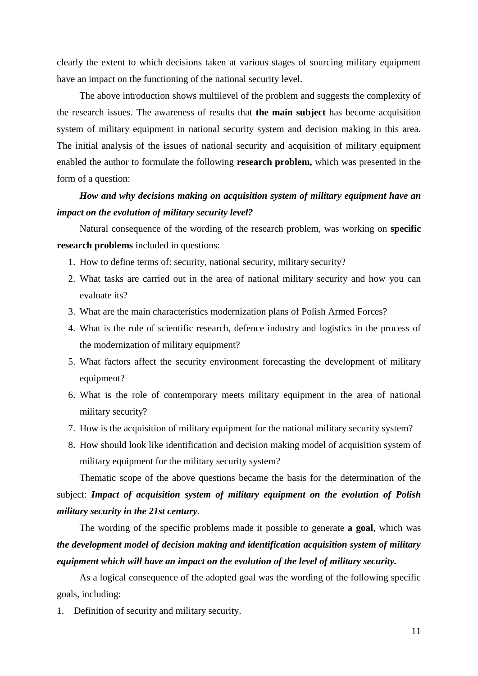clearly the extent to which decisions taken at various stages of sourcing military equipment have an impact on the functioning of the national security level.

The above introduction shows multilevel of the problem and suggests the complexity of the research issues. The awareness of results that **the main subject** has become acquisition system of military equipment in national security system and decision making in this area. The initial analysis of the issues of national security and acquisition of military equipment enabled the author to formulate the following **research problem,** which was presented in the form of a question:

## *How and why decisions making on acquisition system of military equipment have an impact on the evolution of military security level?*

Natural consequence of the wording of the research problem, was working on **specific research problems** included in questions:

- 1. How to define terms of: security, national security, military security?
- 2. What tasks are carried out in the area of national military security and how you can evaluate its?
- 3. What are the main characteristics modernization plans of Polish Armed Forces?
- 4. What is the role of scientific research, defence industry and logistics in the process of the modernization of military equipment?
- 5. What factors affect the security environment forecasting the development of military equipment?
- 6. What is the role of contemporary meets military equipment in the area of national military security?
- 7. How is the acquisition of military equipment for the national military security system?
- 8. How should look like identification and decision making model of acquisition system of military equipment for the military security system?

Thematic scope of the above questions became the basis for the determination of the subject: *Impact of acquisition system of military equipment on the evolution of Polish military security in the 21st century.*

The wording of the specific problems made it possible to generate **a goal**, which was *the development model of decision making and identification acquisition system of military equipment which will have an impact on the evolution of the level of military security.*

As a logical consequence of the adopted goal was the wording of the following specific goals, including:

1. Definition of security and military security.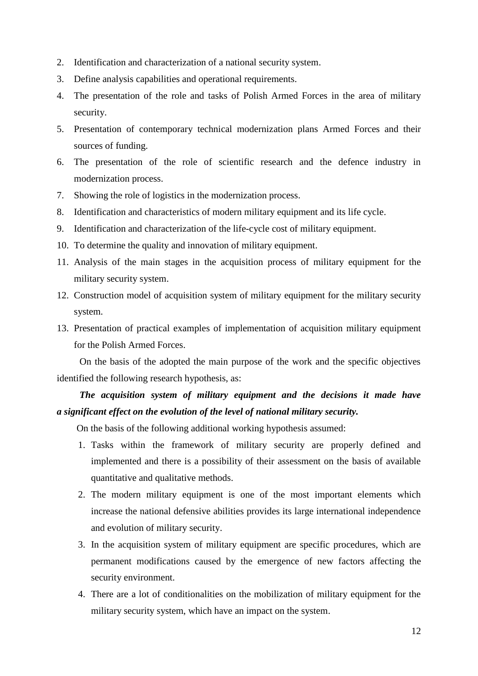- 2. Identification and characterization of a national security system.
- 3. Define analysis capabilities and operational requirements.
- 4. The presentation of the role and tasks of Polish Armed Forces in the area of military security.
- 5. Presentation of contemporary technical modernization plans Armed Forces and their sources of funding.
- 6. The presentation of the role of scientific research and the defence industry in modernization process.
- 7. Showing the role of logistics in the modernization process.
- 8. Identification and characteristics of modern military equipment and its life cycle.
- 9. Identification and characterization of the life-cycle cost of military equipment.
- 10. To determine the quality and innovation of military equipment.
- 11. Analysis of the main stages in the acquisition process of military equipment for the military security system.
- 12. Construction model of acquisition system of military equipment for the military security system.
- 13. Presentation of practical examples of implementation of acquisition military equipment for the Polish Armed Forces.

On the basis of the adopted the main purpose of the work and the specific objectives identified the following research hypothesis, as:

## *The acquisition system of military equipment and the decisions it made have a significant effect on the evolution of the level of national military security.*

On the basis of the following additional working hypothesis assumed:

- 1. Tasks within the framework of military security are properly defined and implemented and there is a possibility of their assessment on the basis of available quantitative and qualitative methods.
- 2. The modern military equipment is one of the most important elements which increase the national defensive abilities provides its large international independence and evolution of military security.
- 3. In the acquisition system of military equipment are specific procedures, which are permanent modifications caused by the emergence of new factors affecting the security environment.
- 4. There are a lot of conditionalities on the mobilization of military equipment for the military security system, which have an impact on the system.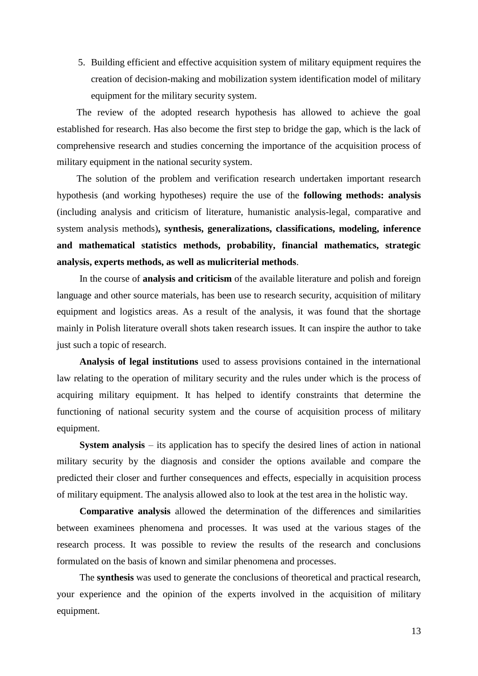5. Building efficient and effective acquisition system of military equipment requires the creation of decision-making and mobilization system identification model of military equipment for the military security system.

The review of the adopted research hypothesis has allowed to achieve the goal established for research. Has also become the first step to bridge the gap, which is the lack of comprehensive research and studies concerning the importance of the acquisition process of military equipment in the national security system.

The solution of the problem and verification research undertaken important research hypothesis (and working hypotheses) require the use of the **following methods: analysis**  (including analysis and criticism of literature, humanistic analysis-legal, comparative and system analysis methods)**, synthesis, generalizations, classifications, modeling, inference and mathematical statistics methods, probability, financial mathematics, strategic analysis, experts methods, as well as mulicriterial methods**.

In the course of **analysis and criticism** of the available literature and polish and foreign language and other source materials, has been use to research security, acquisition of military equipment and logistics areas. As a result of the analysis, it was found that the shortage mainly in Polish literature overall shots taken research issues. It can inspire the author to take just such a topic of research.

**Analysis of legal institutions** used to assess provisions contained in the international law relating to the operation of military security and the rules under which is the process of acquiring military equipment. It has helped to identify constraints that determine the functioning of national security system and the course of acquisition process of military equipment.

**System analysis** – its application has to specify the desired lines of action in national military security by the diagnosis and consider the options available and compare the predicted their closer and further consequences and effects, especially in acquisition process of military equipment. The analysis allowed also to look at the test area in the holistic way.

**Comparative analysis** allowed the determination of the differences and similarities between examinees phenomena and processes. It was used at the various stages of the research process. It was possible to review the results of the research and conclusions formulated on the basis of known and similar phenomena and processes.

The **synthesis** was used to generate the conclusions of theoretical and practical research, your experience and the opinion of the experts involved in the acquisition of military equipment.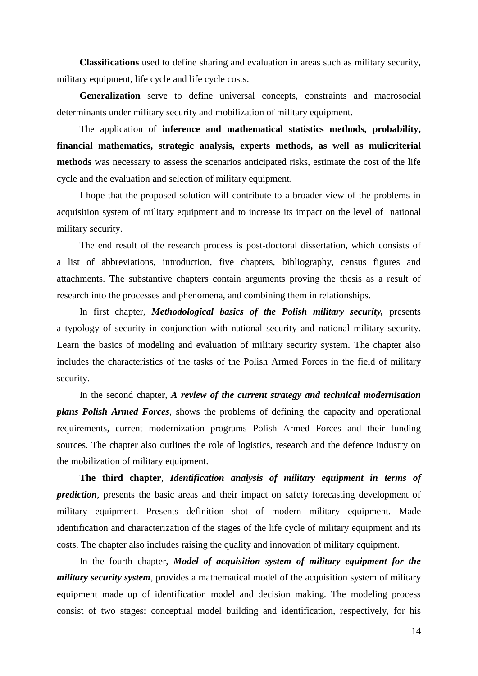**Classifications** used to define sharing and evaluation in areas such as military security, military equipment, life cycle and life cycle costs.

**Generalization** serve to define universal concepts, constraints and macrosocial determinants under military security and mobilization of military equipment.

The application of **inference and mathematical statistics methods, probability, financial mathematics, strategic analysis, experts methods, as well as mulicriterial methods** was necessary to assess the scenarios anticipated risks, estimate the cost of the life cycle and the evaluation and selection of military equipment.

I hope that the proposed solution will contribute to a broader view of the problems in acquisition system of military equipment and to increase its impact on the level of national military security.

The end result of the research process is post-doctoral dissertation, which consists of a list of abbreviations, introduction, five chapters, bibliography, census figures and attachments. The substantive chapters contain arguments proving the thesis as a result of research into the processes and phenomena, and combining them in relationships.

In first chapter, *Methodological basics of the Polish military security,* presents a typology of security in conjunction with national security and national military security. Learn the basics of modeling and evaluation of military security system. The chapter also includes the characteristics of the tasks of the Polish Armed Forces in the field of military security.

In the second chapter, *A review of the current strategy and technical modernisation plans Polish Armed Forces*, shows the problems of defining the capacity and operational requirements, current modernization programs Polish Armed Forces and their funding sources. The chapter also outlines the role of logistics, research and the defence industry on the mobilization of military equipment.

**The third chapter**, *Identification analysis of military equipment in terms of prediction*, presents the basic areas and their impact on safety forecasting development of military equipment. Presents definition shot of modern military equipment. Made identification and characterization of the stages of the life cycle of military equipment and its costs. The chapter also includes raising the quality and innovation of military equipment.

In the fourth chapter, *Model of acquisition system of military equipment for the military security system*, provides a mathematical model of the acquisition system of military equipment made up of identification model and decision making. The modeling process consist of two stages: conceptual model building and identification, respectively, for his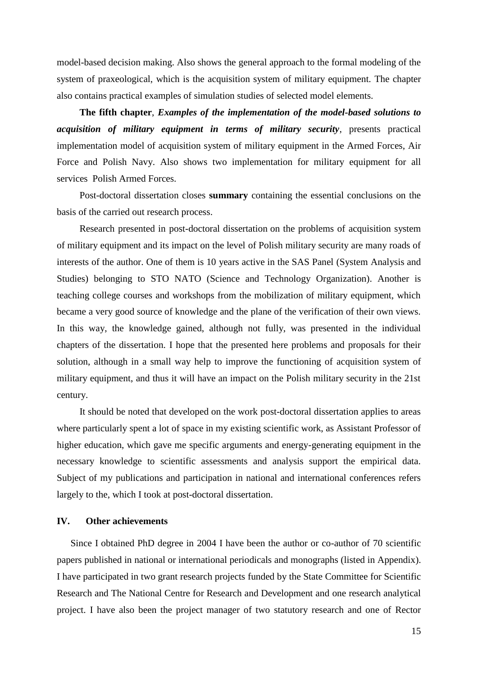model-based decision making. Also shows the general approach to the formal modeling of the system of praxeological, which is the acquisition system of military equipment. The chapter also contains practical examples of simulation studies of selected model elements.

**The fifth chapter**, *Examples of the implementation of the model-based solutions to acquisition of military equipment in terms of military security*, presents practical implementation model of acquisition system of military equipment in the Armed Forces, Air Force and Polish Navy. Also shows two implementation for military equipment for all services Polish Armed Forces.

Post-doctoral dissertation closes **summary** containing the essential conclusions on the basis of the carried out research process.

Research presented in post-doctoral dissertation on the problems of acquisition system of military equipment and its impact on the level of Polish military security are many roads of interests of the author. One of them is 10 years active in the SAS Panel (System Analysis and Studies) belonging to STO NATO (Science and Technology Organization). Another is teaching college courses and workshops from the mobilization of military equipment, which became a very good source of knowledge and the plane of the verification of their own views. In this way, the knowledge gained, although not fully, was presented in the individual chapters of the dissertation. I hope that the presented here problems and proposals for their solution, although in a small way help to improve the functioning of acquisition system of military equipment, and thus it will have an impact on the Polish military security in the 21st century.

It should be noted that developed on the work post-doctoral dissertation applies to areas where particularly spent a lot of space in my existing scientific work, as Assistant Professor of higher education, which gave me specific arguments and energy-generating equipment in the necessary knowledge to scientific assessments and analysis support the empirical data. Subject of my publications and participation in national and international conferences refers largely to the, which I took at post-doctoral dissertation.

#### **IV. Other achievements**

Since I obtained PhD degree in 2004 I have been the author or co-author of 70 scientific papers published in national or international periodicals and monographs (listed in Appendix). I have participated in two grant research projects funded by the State Committee for Scientific Research and The National Centre for Research and Development and one research analytical project. I have also been the project manager of two statutory research and one of Rector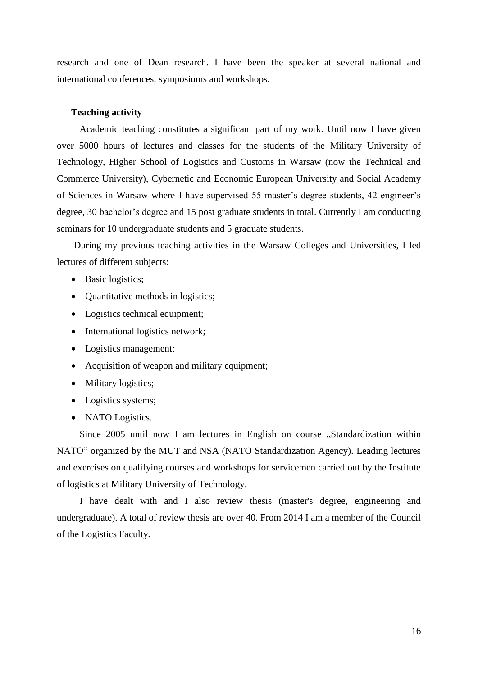research and one of Dean research. I have been the speaker at several national and international conferences, symposiums and workshops.

#### **Teaching activity**

Academic teaching constitutes a significant part of my work. Until now I have given over 5000 hours of lectures and classes for the students of the Military University of Technology, Higher School of Logistics and Customs in Warsaw (now the Technical and Commerce University), Cybernetic and Economic European University and Social Academy of Sciences in Warsaw where I have supervised 55 master's degree students, 42 engineer's degree, 30 bachelor's degree and 15 post graduate students in total. Currently I am conducting seminars for 10 undergraduate students and 5 graduate students.

During my previous teaching activities in the Warsaw Colleges and Universities, I led lectures of different subjects:

- Basic logistics;
- Quantitative methods in logistics;
- Logistics technical equipment;
- International logistics network;
- Logistics management;
- Acquisition of weapon and military equipment;
- Military logistics;
- Logistics systems;
- NATO Logistics.

Since 2005 until now I am lectures in English on course "Standardization within NATO" organized by the MUT and NSA (NATO Standardization Agency). Leading lectures and exercises on qualifying courses and workshops for servicemen carried out by the Institute of logistics at Military University of Technology.

I have dealt with and I also review thesis (master's degree, engineering and undergraduate). A total of review thesis are over 40. From 2014 I am a member of the Council of the Logistics Faculty.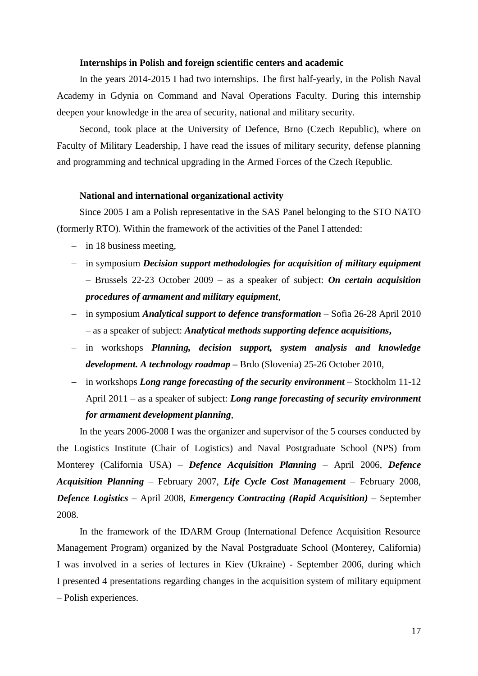#### **Internships in Polish and foreign scientific centers and academic**

In the years 2014-2015 I had two internships. The first half-yearly, in the Polish Naval Academy in Gdynia on Command and Naval Operations Faculty. During this internship deepen your knowledge in the area of security, national and military security.

Second, took place at the University of Defence, Brno (Czech Republic), where on Faculty of Military Leadership, I have read the issues of military security, defense planning and programming and technical upgrading in the Armed Forces of the Czech Republic.

#### **National and international organizational activity**

Since 2005 I am a Polish representative in the SAS Panel belonging to the STO NATO (formerly RTO). Within the framework of the activities of the Panel I attended:

- $-$  in 18 business meeting,
- in symposium *Decision support methodologies for acquisition of military equipment* – Brussels 22-23 October 2009 – as a speaker of subject: *On certain acquisition procedures of armament and military equipment*,
- in symposium *Analytical support to defence transformation* Sofia 26-28 April 2010 – as a speaker of subject: *Analytical methods supporting defence acquisitions***,**
- in workshops *Planning, decision support, system analysis and knowledge development. A technology roadmap* **–** Brdo (Slovenia) 25-26 October 2010,
- in workshops *Long range forecasting of the security environment* Stockholm 11-12 April 2011 – as a speaker of subject: *Long range forecasting of security environment for armament development planning*,

In the years 2006-2008 I was the organizer and supervisor of the 5 courses conducted by the Logistics Institute (Chair of Logistics) and Naval Postgraduate School (NPS) from Monterey (California USA) – *Defence Acquisition Planning* – April 2006, *Defence Acquisition Planning* – February 2007, *Life Cycle Cost Management* – February 2008, *Defence Logistics* – April 2008, *Emergency Contracting (Rapid Acquisition)* – September 2008.

In the framework of the IDARM Group (International Defence Acquisition Resource Management Program) organized by the Naval Postgraduate School (Monterey, California) I was involved in a series of lectures in Kiev (Ukraine) - September 2006, during which I presented 4 presentations regarding changes in the acquisition system of military equipment – Polish experiences.